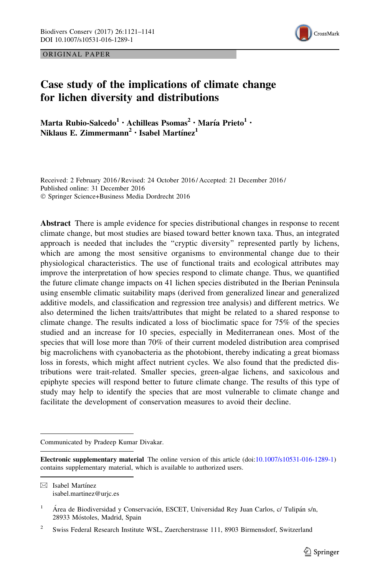ORIGINAL PAPER



# Case study of the implications of climate change for lichen diversity and distributions

Marta Rubio-Salcedo<sup>1</sup> • Achilleas Psomas<sup>2</sup> • María Prieto<sup>1</sup> • Niklaus E. Zimmermann<sup>2</sup> • Isabel Martínez<sup>1</sup>

Received: 2 February 2016 / Revised: 24 October 2016 / Accepted: 21 December 2016 / Published online: 31 December 2016 - Springer Science+Business Media Dordrecht 2016

Abstract There is ample evidence for species distributional changes in response to recent climate change, but most studies are biased toward better known taxa. Thus, an integrated approach is needed that includes the ''cryptic diversity'' represented partly by lichens, which are among the most sensitive organisms to environmental change due to their physiological characteristics. The use of functional traits and ecological attributes may improve the interpretation of how species respond to climate change. Thus, we quantified the future climate change impacts on 41 lichen species distributed in the Iberian Peninsula using ensemble climatic suitability maps (derived from generalized linear and generalized additive models, and classification and regression tree analysis) and different metrics. We also determined the lichen traits/attributes that might be related to a shared response to climate change. The results indicated a loss of bioclimatic space for 75% of the species studied and an increase for 10 species, especially in Mediterranean ones. Most of the species that will lose more than 70% of their current modeled distribution area comprised big macrolichens with cyanobacteria as the photobiont, thereby indicating a great biomass loss in forests, which might affect nutrient cycles. We also found that the predicted distributions were trait-related. Smaller species, green-algae lichens, and saxicolous and epiphyte species will respond better to future climate change. The results of this type of study may help to identify the species that are most vulnerable to climate change and facilitate the development of conservation measures to avoid their decline.

 $\boxtimes$  Isabel Martínez isabel.martinez@urjc.es

Communicated by Pradeep Kumar Divakar.

Electronic supplementary material The online version of this article (doi:[10.1007/s10531-016-1289-1](http://dx.doi.org/10.1007/s10531-016-1289-1)) contains supplementary material, which is available to authorized users.

 $1$  Área de Biodiversidad y Conservación, ESCET, Universidad Rey Juan Carlos, c/ Tulipán s/n, 28933 Móstoles, Madrid, Spain

<sup>2</sup> Swiss Federal Research Institute WSL, Zuercherstrasse 111, 8903 Birmensdorf, Switzerland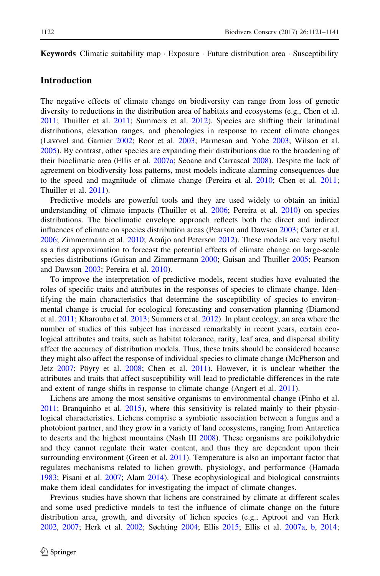Keywords Climatic suitability map · Exposure · Future distribution area · Susceptibility

## **Introduction**

The negative effects of climate change on biodiversity can range from loss of genetic diversity to reductions in the distribution area of habitats and ecosystems (e.g., Chen et al. [2011;](#page-17-0) Thuiller et al. [2011;](#page-20-0) Summers et al. [2012\)](#page-20-0). Species are shifting their latitudinal distributions, elevation ranges, and phenologies in response to recent climate changes (Lavorel and Garnier [2002](#page-18-0); Root et al. [2003;](#page-20-0) Parmesan and Yohe [2003](#page-19-0); Wilson et al. [2005\)](#page-20-0). By contrast, other species are expanding their distributions due to the broadening of their bioclimatic area (Ellis et al. [2007a;](#page-17-0) Seoane and Carrascal [2008\)](#page-20-0). Despite the lack of agreement on biodiversity loss patterns, most models indicate alarming consequences due to the speed and magnitude of climate change (Pereira et al. [2010](#page-19-0); Chen et al. [2011;](#page-17-0) Thuiller et al. [2011\)](#page-20-0).

Predictive models are powerful tools and they are used widely to obtain an initial understanding of climate impacts (Thuiller et al. [2006](#page-20-0); Pereira et al. [2010](#page-19-0)) on species distributions. The bioclimatic envelope approach reflects both the direct and indirect influences of climate on species distribution areas (Pearson and Dawson [2003;](#page-19-0) Carter et al. [2006;](#page-17-0) Zimmermann et al. [2010](#page-20-0); Arau´jo and Peterson [2012\)](#page-16-0). These models are very useful as a first approximation to forecast the potential effects of climate change on large-scale species distributions (Guisan and Zimmermann [2000;](#page-18-0) Guisan and Thuiller [2005;](#page-18-0) Pearson and Dawson [2003;](#page-19-0) Pereira et al. [2010\)](#page-19-0).

To improve the interpretation of predictive models, recent studies have evaluated the roles of specific traits and attributes in the responses of species to climate change. Identifying the main characteristics that determine the susceptibility of species to environmental change is crucial for ecological forecasting and conservation planning (Diamond et al. [2011](#page-17-0); Kharouba et al. [2013](#page-18-0); Summers et al. [2012\)](#page-20-0). In plant ecology, an area where the number of studies of this subject has increased remarkably in recent years, certain ecological attributes and traits, such as habitat tolerance, rarity, leaf area, and dispersal ability affect the accuracy of distribution models. Thus, these traits should be considered because they might also affect the response of individual species to climate change (McPherson and Jetz  $2007$ ; Pöyry et al.  $2008$ ; Chen et al.  $2011$ ). However, it is unclear whether the attributes and traits that affect susceptibility will lead to predictable differences in the rate and extent of range shifts in response to climate change (Angert et al. [2011\)](#page-16-0).

Lichens are among the most sensitive organisms to environmental change (Pinho et al. [2011;](#page-19-0) Branquinho et al. [2015\)](#page-16-0), where this sensitivity is related mainly to their physiological characteristics. Lichens comprise a symbiotic association between a fungus and a photobiont partner, and they grow in a variety of land ecosystems, ranging from Antarctica to deserts and the highest mountains (Nash III [2008\)](#page-19-0). These organisms are poikilohydric and they cannot regulate their water content, and thus they are dependent upon their surrounding environment (Green et al. [2011](#page-18-0)). Temperature is also an important factor that regulates mechanisms related to lichen growth, physiology, and performance (Hamada [1983;](#page-18-0) Pisani et al. [2007](#page-19-0); Alam [2014\)](#page-16-0). These ecophysiological and biological constraints make them ideal candidates for investigating the impact of climate changes.

Previous studies have shown that lichens are constrained by climate at different scales and some used predictive models to test the influence of climate change on the future distribution area, growth, and diversity of lichen species (e.g., Aptroot and van Herk [2002,](#page-16-0) [2007](#page-16-0); Herk et al. [2002](#page-18-0); Søchting [2004;](#page-20-0) Ellis [2015](#page-17-0); Ellis et al. [2007a,](#page-17-0) [b](#page-17-0), [2014;](#page-17-0)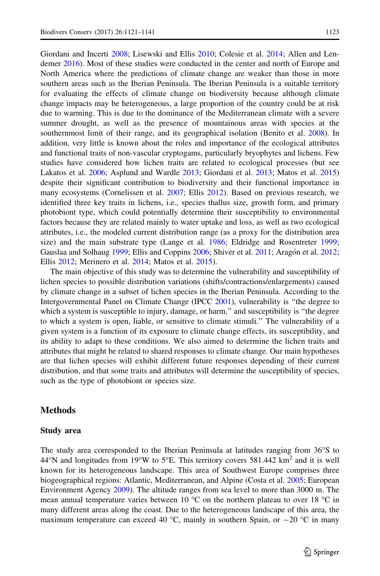Giordani and Incerti [2008;](#page-18-0) Lisewski and Ellis [2010;](#page-18-0) Colesie et al. [2014](#page-17-0); Allen and Lendemer [2016](#page-16-0)). Most of these studies were conducted in the center and north of Europe and North America where the predictions of climate change are weaker than those in more southern areas such as the Iberian Peninsula. The Iberian Peninsula is a suitable territory for evaluating the effects of climate change on biodiversity because although climate change impacts may be heterogeneous, a large proportion of the country could be at risk due to warming. This is due to the dominance of the Mediterranean climate with a severe summer drought, as well as the presence of mountainous areas with species at the southernmost limit of their range, and its geographical isolation (Benito et al. [2008\)](#page-16-0). In addition, very little is known about the roles and importance of the ecological attributes and functional traits of non-vascular cryptogams, particularly bryophytes and lichens. Few studies have considered how lichen traits are related to ecological processes (but see Lakatos et al. [2006;](#page-18-0) Asplund and Wardle [2013](#page-16-0); Giordani et al. [2013;](#page-18-0) Matos et al. [2015](#page-19-0)) despite their significant contribution to biodiversity and their functional importance in many ecosystems (Cornelissen et al. [2007](#page-17-0); Ellis [2012\)](#page-17-0). Based on previous research, we identified three key traits in lichens, i.e., species thallus size, growth form, and primary photobiont type, which could potentially determine their susceptibility to environmental factors because they are related mainly to water uptake and loss, as well as two ecological attributes, i.e., the modeled current distribution range (as a proxy for the distribution area size) and the main substrate type (Lange et al. [1986;](#page-18-0) Eldridge and Rosentreter [1999;](#page-17-0) Gauslaa and Solhaug [1999](#page-18-0); Ellis and Coppins [2006](#page-17-0); Shiver et al. [2011](#page-20-0); Aragón et al. [2012;](#page-16-0) Ellis [2012](#page-17-0); Merinero et al. [2014;](#page-19-0) Matos et al. [2015\)](#page-19-0).

The main objective of this study was to determine the vulnerability and susceptibility of lichen species to possible distribution variations (shifts/contractions/enlargements) caused by climate change in a subset of lichen species in the Iberian Peninsula. According to the Intergovernmental Panel on Climate Change (IPCC [2001\)](#page-18-0), vulnerability is ''the degree to which a system is susceptible to injury, damage, or harm," and susceptibility is "the degree to which a system is open, liable, or sensitive to climate stimuli.'' The vulnerability of a given system is a function of its exposure to climate change effects, its susceptibility, and its ability to adapt to these conditions. We also aimed to determine the lichen traits and attributes that might be related to shared responses to climate change. Our main hypotheses are that lichen species will exhibit different future responses depending of their current distribution, and that some traits and attributes will determine the susceptibility of species, such as the type of photobiont or species size.

# **Methods**

#### Study area

The study area corresponded to the Iberian Peninsula at latitudes ranging from  $36\degree$ S to 44<sup>o</sup>N and longitudes from 19<sup>o</sup>W to 5<sup>o</sup>E. This territory covers 581.442 km<sup>2</sup> and it is well known for its heterogeneous landscape. This area of Southwest Europe comprises three biogeographical regions: Atlantic, Mediterranean, and Alpine (Costa et al. [2005](#page-17-0); European Environment Agency [2009](#page-17-0)). The altitude ranges from sea level to more than 3000 m. The mean annual temperature varies between 10  $^{\circ}$ C on the northern plateau to over 18  $^{\circ}$ C in many different areas along the coast. Due to the heterogeneous landscape of this area, the maximum temperature can exceed 40 °C, mainly in southern Spain, or  $-20$  °C in many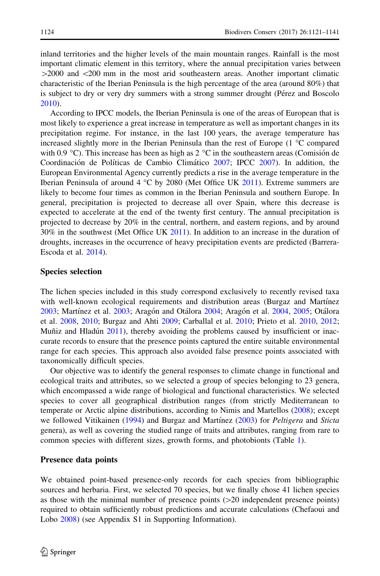inland territories and the higher levels of the main mountain ranges. Rainfall is the most important climatic element in this territory, where the annual precipitation varies between  $>$  2000 and  $<$  200 mm in the most arid southeastern areas. Another important climatic characteristic of the Iberian Peninsula is the high percentage of the area (around 80%) that is subject to dry or very dry summers with a strong summer drought (Pérez and Boscolo [2010\)](#page-19-0).

According to IPCC models, the Iberian Peninsula is one of the areas of European that is most likely to experience a great increase in temperature as well as important changes in its precipitation regime. For instance, in the last 100 years, the average temperature has increased slightly more in the Iberian Peninsula than the rest of Europe  $(1 \degree C$  compared with 0.9 °C). This increase has been as high as  $2 \text{ }^{\circ}\text{C}$  in the southeastern areas (Comisión de Coordinación de Políticas de Cambio Climático [2007](#page-17-0); IPCC [2007\)](#page-18-0). In addition, the European Environmental Agency currently predicts a rise in the average temperature in the Iberian Peninsula of around 4  $^{\circ}$ C by 2080 (Met Office UK [2011](#page-19-0)). Extreme summers are likely to become four times as common in the Iberian Peninsula and southern Europe. In general, precipitation is projected to decrease all over Spain, where this decrease is expected to accelerate at the end of the twenty first century. The annual precipitation is projected to decrease by 20% in the central, northern, and eastern regions, and by around 30% in the southwest (Met Office UK [2011\)](#page-19-0). In addition to an increase in the duration of droughts, increases in the occurrence of heavy precipitation events are predicted (Barrera-Escoda et al. [2014\)](#page-16-0).

## Species selection

The lichen species included in this study correspond exclusively to recently revised taxa with well-known ecological requirements and distribution areas (Burgaz and Martínez [2003;](#page-16-0) Martínez et al. [2003](#page-18-0); Aragón and Otálora [2004](#page-16-0); Aragón et al. [2004,](#page-16-0) [2005](#page-16-0); Otálora et al. [2008](#page-19-0), [2010](#page-19-0); Burgaz and Ahti [2009;](#page-16-0) Carballal et al. [2010;](#page-17-0) Prieto et al. [2010](#page-20-0), [2012;](#page-20-0) Muñiz and Hladún [2011](#page-19-0)), thereby avoiding the problems caused by insufficient or inaccurate records to ensure that the presence points captured the entire suitable environmental range for each species. This approach also avoided false presence points associated with taxonomically difficult species.

Our objective was to identify the general responses to climate change in functional and ecological traits and attributes, so we selected a group of species belonging to 23 genera, which encompassed a wide range of biological and functional characteristics. We selected species to cover all geographical distribution ranges (from strictly Mediterranean to temperate or Arctic alpine distributions, according to Nimis and Martellos [\(2008\)](#page-19-0); except we followed Vitikainen ([1994\)](#page-20-0) and Burgaz and Martínez ([2003](#page-16-0)) for *Peltigera* and Sticta genera), as well as covering the studied range of traits and attributes, ranging from rare to common species with different sizes, growth forms, and photobionts (Table [1](#page-4-0)).

#### Presence data points

We obtained point-based presence-only records for each species from bibliographic sources and herbaria. First, we selected 70 species, but we finally chose 41 lichen species as those with the minimal number of presence points  $(>=20$  independent presence points) required to obtain sufficiently robust predictions and accurate calculations (Chefaoui and Lobo [2008\)](#page-17-0) (see Appendix S1 in Supporting Information).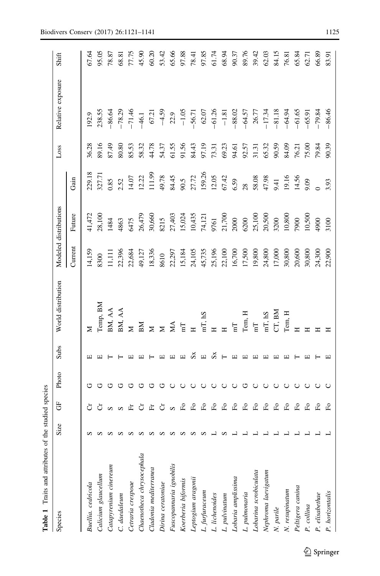<span id="page-4-0"></span>

| Table 1 Traits and attributes of the |        | studied species       |       |                      |                         |                       |                  |                        |       |                          |       |
|--------------------------------------|--------|-----------------------|-------|----------------------|-------------------------|-----------------------|------------------|------------------------|-------|--------------------------|-------|
| Species                              | Size   | 5                     | Photo | Subs                 | World distribution      | Modeled distributions |                  |                        | Loss  | Relative exposure        | Shift |
|                                      |        |                       |       |                      |                         | Current               | Future           | Gain                   |       |                          |       |
| Buellia. cedricola                   | S      | Ö                     | ℧     |                      | Σ                       | 14,159                | 41,472           | 229.18                 | 36.28 | 192.9                    | 67.64 |
| Calicium glaucellum                  | $\sim$ | Ö                     |       |                      | Temp, BM                | 8300                  | 28,100           | 327.71                 | 89.16 | 238.55                   | 95.05 |
| Catapyrenium cinereum                | S      | $\Omega$              |       |                      | BM, AA                  | 1111                  | 1484             | 0.85                   | 87.49 | $-86.64$                 | 78.87 |
| C. daedaleum                         | S      | $\boldsymbol{\omega}$ |       |                      | BM, AA                  | 22,396                | 4863             | 2.52                   | 80.80 | $-78.29$                 | 68.81 |
| Cetraria crespoae                    | S      | 広                     |       |                      | Σ                       | 22,684                | 6475             | 14.07                  | 85.53 | $-71.46$                 | 77.75 |
| Chaenotheca chrysocephala            | s      | Ō                     |       |                      | BМ                      | 49,127                | 26,479           | 12.22                  | 58.32 | $-46.1$                  | 45.90 |
| Cladonia mediterranea                | S      | 庄                     |       |                      | $\mathbf{z}$            | 18,336                | 30,660           | 111.99                 | 44.78 | 67.21                    | 60.20 |
| Dirina ceratoniae                    | S      | Ō                     |       |                      | $\geq$                  | 8610                  | 8215             | 49.78                  | 54.37 |                          | 53.42 |
| Fuscopannaria ignobilis              | S      | $\mathcal{L}$         |       |                      | ЯÅ                      | 22,297                | 27,403           | 84.45<br>90.5<br>27.72 | 61.55 | $-4.59$<br>22.9<br>-1.05 | 65.66 |
| Koerberia bifornis                   | S      | £                     | U     |                      | $\overline{\Xi}$        | 15,184                | 15,024           |                        | 91.56 |                          | 97.88 |
| Leptogium aragonii                   | S      | £                     |       | š                    |                         | 24,105                | 10,435           |                        | 84.43 | $-56.71$                 | 78.41 |
|                                      | S      | £                     | U     | $\boxed{\mathbf{L}}$ | mT, hS                  | 45,735                | 74,121           | 159.26                 | 97.19 |                          | 97.85 |
| L. furfuraceum<br>L. lichenoides     |        | £                     | O     | š                    |                         | 25,196                | 9761             | 12.05                  | 73.31 | $62.07 - 61.26$          | 61.74 |
| $L.$ $pubinatum$                     | ∽      | £                     |       |                      |                         | 22,100                | 21,700           | 67.42                  | 69.23 | $-1.81$                  | 68.94 |
| Lobaria amplissima                   |        | £                     |       |                      |                         | 16,700                | 2000             | 6.59                   | 94.61 |                          | 90.37 |
| L. pulmonaria                        |        | £                     | ↺     |                      | Tem, H                  | 17,500                | 6200             | 28                     | 92.57 | $-88.02$<br>$-64.57$     | 89.76 |
| Lobarina scrobiculata                |        | £                     |       |                      | $\overline{\mathrm{m}}$ | 19,800                | 25,100<br>20,500 |                        | 31.31 | 26.77                    | 39.42 |
| Nephroma laevigatum                  |        | £                     |       |                      | mT, hS                  | 24,800                |                  | 58.08<br>47.98         | 65.32 | $-17.34$                 | 62.03 |
| N. parile                            |        | £                     |       |                      | CT, BM                  | 17,000                | 3200             | 9.41                   | 90.59 | $-81.18$                 | 84.15 |
| N. resupinatum                       |        | £                     | O     |                      | Tem, H                  | 30,800                | 10,800           | 19.16<br>14.56         | 84.09 | $-64.94$                 | 76.81 |
| Peltigera canina                     |        | £                     |       |                      |                         | 20,600                | 7900             |                        | 76.21 | $-61.65$                 | 65.84 |
| P. collina                           |        | £                     |       |                      |                         | 30,800                | 10,500           | 9.09                   | 75.00 | $-65.91$                 | 62.71 |
| P. elisabethae                       |        | £                     |       |                      |                         | 24,300                | 4900             |                        | 79.84 | $-79.84$                 | 66.89 |
| P. horizontalis                      |        | £                     |       |                      |                         | 22,900                | \$100            | 3.93                   | 90.39 | $-86.46$                 | 83.91 |

 $\underline{\textcircled{\tiny 2}}$  Springer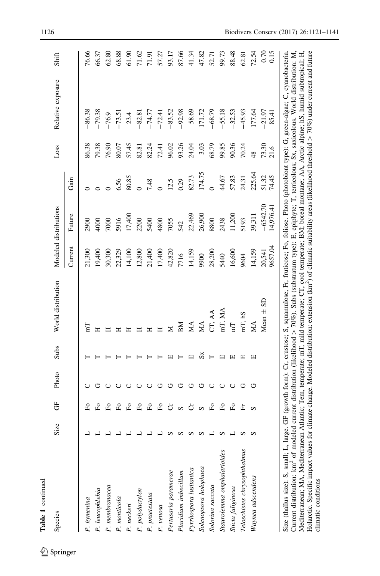| Photo<br>5 | Subs        | World distribution |         | Modeled distributions |        | Loss          | Relative exposure | Shift                                                                                                                                                                                                                                                                                                                                                                                                                                                                                                                                       |
|------------|-------------|--------------------|---------|-----------------------|--------|---------------|-------------------|---------------------------------------------------------------------------------------------------------------------------------------------------------------------------------------------------------------------------------------------------------------------------------------------------------------------------------------------------------------------------------------------------------------------------------------------------------------------------------------------------------------------------------------------|
|            |             |                    | Current | Future                | Gain   |               |                   |                                                                                                                                                                                                                                                                                                                                                                                                                                                                                                                                             |
| £          |             | 덥                  | 21,300  | 2900                  |        | 86.38         | $-86.38$          | 76.66                                                                                                                                                                                                                                                                                                                                                                                                                                                                                                                                       |
| ゥ<br>£     |             | Ξ                  | 19,400  | 4000                  |        | 79.38         | $-79.38$          | 66.37                                                                                                                                                                                                                                                                                                                                                                                                                                                                                                                                       |
| O<br>£     |             | ≖                  | 30,300  | 7000                  |        | 76.90         | $-76.9$           | 62.80                                                                                                                                                                                                                                                                                                                                                                                                                                                                                                                                       |
| O<br>£     |             |                    | 22,329  | 5916                  | 6.56   | 80.07         | $-73.51$          | 68.88                                                                                                                                                                                                                                                                                                                                                                                                                                                                                                                                       |
| £          |             |                    | 14,100  | 17,400                | 80.85  | 57.45         | 23.4              | 61.90                                                                                                                                                                                                                                                                                                                                                                                                                                                                                                                                       |
| £          |             |                    | 12,800  | 2200                  |        | 82.81         | $-82.81$          | 71.62                                                                                                                                                                                                                                                                                                                                                                                                                                                                                                                                       |
| £          |             |                    | 21,400  | 5400                  | 7.48   | 82.24         | $-74.77$          | 71.91                                                                                                                                                                                                                                                                                                                                                                                                                                                                                                                                       |
| ゥ<br>£     |             | ≖                  | 17,400  | 4800                  |        | 72.41         | $-72.41$          | 57.27                                                                                                                                                                                                                                                                                                                                                                                                                                                                                                                                       |
| ゥ          | ш           | Σ                  | 42,820  | 7055                  | 12.5   | 96.02         | $-83.52$          | 93.17                                                                                                                                                                                                                                                                                                                                                                                                                                                                                                                                       |
| ゥ          |             | BМ                 | 7716    | 542                   | 0.29   | 93.26         | $-92.98$          | 87.66                                                                                                                                                                                                                                                                                                                                                                                                                                                                                                                                       |
| O          | $\boxed{1}$ | МA                 | 14,159  | 22,469                | 82.73  | 24.04         | 58.69             | 41.34                                                                                                                                                                                                                                                                                                                                                                                                                                                                                                                                       |
| ゥ          | $s_{\rm X}$ | МA                 | 9900    | 26,900                | 174.75 | 3.03          | 171.72            | 47.82                                                                                                                                                                                                                                                                                                                                                                                                                                                                                                                                       |
| O<br>£     |             | CT, AA             | 28,200  | 8800                  |        | 68.79         | $-68.79$          | 52.71                                                                                                                                                                                                                                                                                                                                                                                                                                                                                                                                       |
| O<br>£     | ш           | mT, MA             | 5440    | 2438                  | 44.67  | 99.85         | $-55.18$          | 99.73                                                                                                                                                                                                                                                                                                                                                                                                                                                                                                                                       |
| O<br>£     | ш           | mT                 | 16,600  | 11,200                | 57.83  | 90.36         | $-32.53$          | 88.48                                                                                                                                                                                                                                                                                                                                                                                                                                                                                                                                       |
| O          | ш           | mT, hS             | 9604    | 5193                  | 24.31  | 70.24         | $-45.93$          | 62.81                                                                                                                                                                                                                                                                                                                                                                                                                                                                                                                                       |
| ↺          | ш           | МA                 | 14,159  | 39,311                | 225.64 | $\frac{8}{3}$ | 177.64            | $72.5^{\circ}$                                                                                                                                                                                                                                                                                                                                                                                                                                                                                                                              |
|            |             | Mean $\pm$ SD      | 20,541  | $-6542.70$            | 51.32  |               | $-21.97$          | 0.70                                                                                                                                                                                                                                                                                                                                                                                                                                                                                                                                        |
|            |             |                    | 9657.04 | 14,976.41             | 74.45  |               | 85.41             | 0.15                                                                                                                                                                                                                                                                                                                                                                                                                                                                                                                                        |
|            |             |                    |         |                       |        |               |                   |                                                                                                                                                                                                                                                                                                                                                                                                                                                                                                                                             |
|            |             |                    |         |                       |        |               | 73.30<br>21.6     | Size (thallus size): S, small; L, large. GF (growth form): Cr, crustose; S, squamulose; Fr, fruticose; Fo, foliose. Photo (photobiont type): G, green-algae; C, cyanobacteria<br>Mediterranean; MA, Mediterranean Atlantic; Tem, temperate; mT, mild temperate; CT, cool temperate; BM; boreal montane; AA, Arctic alpine; hS, humid subtropical; H<br>Current distribution: km <sup>2</sup> of modeled current distribution (likelihood > 70%). Subs (substratum type): E, epiphyte; T, terricolous; Sx, saxicolous. World distribution: M |

 $>$  70%) under current and future

Holarctic. Specific impact values for climate change. Modeled distribution: extension (km2) of climatic suitability areas (likelihood threshold

Holarctic. Specific impact values for climate change. Modeled distribution: extension (km<sup>2</sup>) of climatic suitability areas (likelihood threshold  $> 70\%$ ) under current and future

climatic conditions

climatic conditions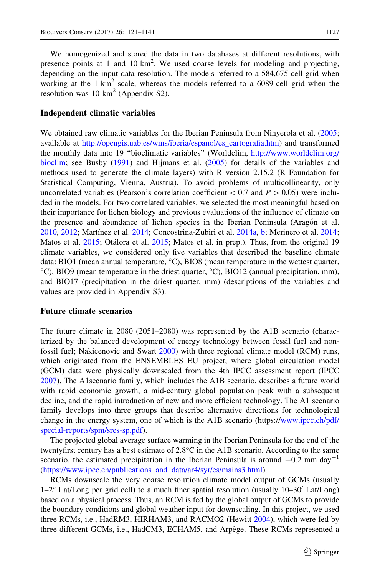We homogenized and stored the data in two databases at different resolutions, with presence points at 1 and 10  $km^2$ . We used coarse levels for modeling and projecting, depending on the input data resolution. The models referred to a 584,675-cell grid when working at the  $1 \text{ km}^2$  scale, whereas the models referred to a 6089-cell grid when the resolution was 10 km<sup>2</sup> (Appendix S2).

## Independent climatic variables

We obtained raw climatic variables for the Iberian Peninsula from Ninyerola et al. [\(2005;](#page-19-0) available at [http://opengis.uab.es/wms/iberia/espanol/es\\_cartografia.htm\)](http://opengis.uab.es/wms/iberia/espanol/es_cartografia.htm) and transformed the monthly data into 19 "bioclimatic variables" (Worldclim, [http://www.worldclim.org/](http://www.worldclim.org/bioclim) [bioclim;](http://www.worldclim.org/bioclim) see Busby [\(1991](#page-16-0)) and Hijmans et al. ([2005](#page-18-0)) for details of the variables and methods used to generate the climate layers) with R version 2.15.2 (R Foundation for Statistical Computing, Vienna, Austria). To avoid problems of multicollinearity, only uncorrelated variables (Pearson's correlation coefficient  $\lt 0.7$  and  $P > 0.05$ ) were included in the models. For two correlated variables, we selected the most meaningful based on their importance for lichen biology and previous evaluations of the influence of climate on the presence and abundance of lichen species in the Iberian Peninsula (Aragón et al. [2010,](#page-16-0) [2012;](#page-16-0) Martínez et al. [2014;](#page-19-0) Concostrina-Zubiri et al. [2014a,](#page-17-0) [b;](#page-17-0) Merinero et al. 2014; Matos et al. [2015](#page-19-0); Otálora et al. [2015;](#page-19-0) Matos et al. in prep.). Thus, from the original 19 climate variables, we considered only five variables that described the baseline climate data: BIO1 (mean annual temperature,  $°C$ ), BIO8 (mean temperature in the wettest quarter, °C), BIO9 (mean temperature in the driest quarter, °C), BIO12 (annual precipitation, mm), and BIO17 (precipitation in the driest quarter, mm) (descriptions of the variables and values are provided in Appendix S3).

## Future climate scenarios

The future climate in 2080 (2051–2080) was represented by the A1B scenario (characterized by the balanced development of energy technology between fossil fuel and nonfossil fuel; Nakicenovic and Swart [2000\)](#page-19-0) with three regional climate model (RCM) runs, which originated from the ENSEMBLES EU project, where global circulation model (GCM) data were physically downscaled from the 4th IPCC assessment report (IPCC [2007\)](#page-18-0). The A1scenario family, which includes the A1B scenario, describes a future world with rapid economic growth, a mid-century global population peak with a subsequent decline, and the rapid introduction of new and more efficient technology. The A1 scenario family develops into three groups that describe alternative directions for technological change in the energy system, one of which is the A1B scenario (https://[www.ipcc.ch/pdf/](http://www.ipcc.ch/pdf/special-reports/spm/sres-sp.pdf) [special-reports/spm/sres-sp.pdf\)](http://www.ipcc.ch/pdf/special-reports/spm/sres-sp.pdf).

The projected global average surface warming in the Iberian Peninsula for the end of the twentyfirst century has a best estimate of  $2.8^{\circ}$ C in the A1B scenario. According to the same scenario, the estimated precipitation in the Iberian Peninsula is around  $-0.2$  mm day<sup>-1</sup> ([https://www.ipcc.ch/publications\\_and\\_data/ar4/syr/es/mains3.html\)](https://www.ipcc.ch/publications_and_data/ar4/syr/es/mains3.html).

RCMs downscale the very coarse resolution climate model output of GCMs (usually  $1-2^{\circ}$  Lat/Long per grid cell) to a much finer spatial resolution (usually  $10-30'$  Lat/Long) based on a physical process. Thus, an RCM is fed by the global output of GCMs to provide the boundary conditions and global weather input for downscaling. In this project, we used three RCMs, i.e., HadRM3, HIRHAM3, and RACMO2 (Hewitt [2004\)](#page-18-0), which were fed by three different GCMs, i.e., HadCM3, ECHAM5, and Arpège. These RCMs represented a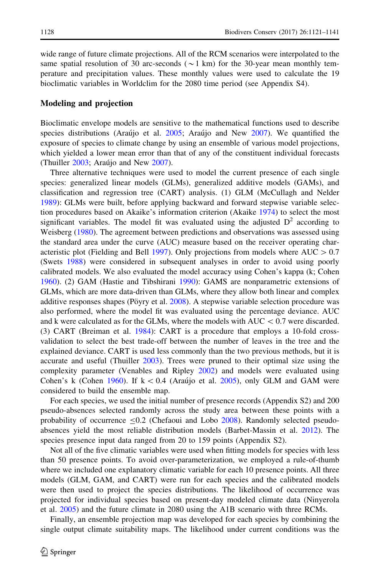wide range of future climate projections. All of the RCM scenarios were interpolated to the same spatial resolution of 30 arc-seconds ( $\sim$ 1 km) for the 30-year mean monthly temperature and precipitation values. These monthly values were used to calculate the 19 bioclimatic variables in Worldclim for the 2080 time period (see Appendix S4).

#### Modeling and projection

Bioclimatic envelope models are sensitive to the mathematical functions used to describe species distributions (Arau $\acute{u}$  et al. [2005;](#page-16-0) Arau $\acute{u}$  and New [2007\)](#page-16-0). We quantified the exposure of species to climate change by using an ensemble of various model projections, which yielded a lower mean error than that of any of the constituent individual forecasts (Thuiller [2003;](#page-20-0) Araújo and New [2007\)](#page-16-0).

Three alternative techniques were used to model the current presence of each single species: generalized linear models (GLMs), generalized additive models (GAMs), and classification and regression tree (CART) analysis. (1) GLM (McCullagh and Nelder [1989\)](#page-19-0): GLMs were built, before applying backward and forward stepwise variable selection procedures based on Akaike's information criterion (Akaike [1974\)](#page-16-0) to select the most significant variables. The model fit was evaluated using the adjusted  $D^2$  according to Weisberg ([1980\)](#page-20-0). The agreement between predictions and observations was assessed using the standard area under the curve (AUC) measure based on the receiver operating char-acteristic plot (Fielding and Bell [1997](#page-17-0)). Only projections from models where  $AUC > 0.7$ (Swets [1988](#page-20-0)) were considered in subsequent analyses in order to avoid using poorly calibrated models. We also evaluated the model accuracy using Cohen's kappa (k; Cohen [1960\)](#page-17-0). (2) GAM (Hastie and Tibshirani [1990](#page-18-0)): GAMS are nonparametric extensions of GLMs, which are more data-driven than GLMs, where they allow both linear and complex additive responses shapes (Pöyry et al. [2008](#page-19-0)). A stepwise variable selection procedure was also performed, where the model fit was evaluated using the percentage deviance. AUC and k were calculated as for the GLMs, where the models with  $AUC < 0.7$  were discarded. (3) CART (Breiman et al. [1984\)](#page-16-0): CART is a procedure that employs a 10-fold crossvalidation to select the best trade-off between the number of leaves in the tree and the explained deviance. CART is used less commonly than the two previous methods, but it is accurate and useful (Thuiller [2003](#page-20-0)). Trees were pruned to their optimal size using the complexity parameter (Venables and Ripley [2002](#page-20-0)) and models were evaluated using Cohen's k (Cohen [1960\)](#page-17-0). If  $k < 0.4$  (Araújo et al. [2005\)](#page-16-0), only GLM and GAM were considered to build the ensemble map.

For each species, we used the initial number of presence records (Appendix S2) and 200 pseudo-absences selected randomly across the study area between these points with a probability of occurrence  $\leq 0.2$  (Chefaoui and Lobo [2008](#page-17-0)). Randomly selected pseudoabsences yield the most reliable distribution models (Barbet-Massin et al. [2012\)](#page-16-0). The species presence input data ranged from 20 to 159 points (Appendix S2).

Not all of the five climatic variables were used when fitting models for species with less than 50 presence points. To avoid over-parameterization, we employed a rule-of-thumb where we included one explanatory climatic variable for each 10 presence points. All three models (GLM, GAM, and CART) were run for each species and the calibrated models were then used to project the species distributions. The likelihood of occurrence was projected for individual species based on present-day modeled climate data (Ninyerola et al. [2005](#page-19-0)) and the future climate in 2080 using the A1B scenario with three RCMs.

Finally, an ensemble projection map was developed for each species by combining the single output climate suitability maps. The likelihood under current conditions was the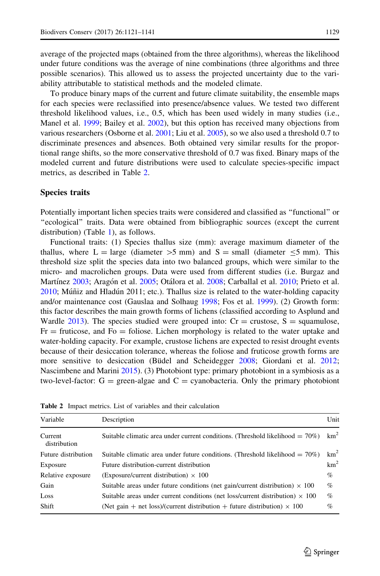<span id="page-8-0"></span>average of the projected maps (obtained from the three algorithms), whereas the likelihood under future conditions was the average of nine combinations (three algorithms and three possible scenarios). This allowed us to assess the projected uncertainty due to the variability attributable to statistical methods and the modeled climate.

To produce binary maps of the current and future climate suitability, the ensemble maps for each species were reclassified into presence/absence values. We tested two different threshold likelihood values, i.e., 0.5, which has been used widely in many studies (i.e., Manel et al. [1999](#page-18-0); Bailey et al. [2002\)](#page-16-0), but this option has received many objections from various researchers (Osborne et al. [2001;](#page-19-0) Liu et al. [2005\)](#page-18-0), so we also used a threshold 0.7 to discriminate presences and absences. Both obtained very similar results for the proportional range shifts, so the more conservative threshold of 0.7 was fixed. Binary maps of the modeled current and future distributions were used to calculate species-specific impact metrics, as described in Table 2.

#### Species traits

Potentially important lichen species traits were considered and classified as ''functional'' or ''ecological'' traits. Data were obtained from bibliographic sources (except the current distribution) (Table [1\)](#page-4-0), as follows.

Functional traits: (1) Species thallus size (mm): average maximum diameter of the thallus, where L = large (diameter  $>5$  mm) and S = small (diameter  $\leq 5$  mm). This threshold size split the species data into two balanced groups, which were similar to the micro- and macrolichen groups. Data were used from different studies (i.e. Burgaz and Martínez [2003;](#page-16-0) Aragón et al. [2005;](#page-16-0) Otálora et al. [2008](#page-19-0); Carballal et al. [2010](#page-17-0); Prieto et al.  $2010$ ; Múñiz and Hladún  $2011$ ; etc.). Thallus size is related to the water-holding capacity and/or maintenance cost (Gauslaa and Solhaug [1998;](#page-18-0) Fos et al. [1999](#page-17-0)). (2) Growth form: this factor describes the main growth forms of lichens (classified according to Asplund and Wardle [2013\)](#page-16-0). The species studied were grouped into:  $Cr =$  crustose,  $S =$  squamulose,  $Fr =$  fruticose, and  $Fo =$  foliose. Lichen morphology is related to the water uptake and water-holding capacity. For example, crustose lichens are expected to resist drought events because of their desiccation tolerance, whereas the foliose and fruticose growth forms are more sensitive to desiccation (Büdel and Scheidegger [2008](#page-16-0); Giordani et al. [2012;](#page-18-0) Nascimbene and Marini [2015](#page-19-0)). (3) Photobiont type: primary photobiont in a symbiosis as a two-level-factor:  $G =$  green-algae and  $C =$  cyanobacteria. Only the primary photobiont

| Variable                | Description                                                                          | Unit            |
|-------------------------|--------------------------------------------------------------------------------------|-----------------|
| Current<br>distribution | Suitable climatic area under current conditions. (Threshold likelihood = $70\%$ )    | km <sup>2</sup> |
| Future distribution     | Suitable climatic area under future conditions. (Threshold likelihood $= 70\%$ )     | km <sup>2</sup> |
| Exposure                | Future distribution-current distribution                                             | km <sup>2</sup> |
| Relative exposure       | (Exposure/current distribution) $\times$ 100                                         | $\%$            |
| Gain                    | Suitable areas under future conditions (net gain/current distribution) $\times$ 100  | $\%$            |
| Loss                    | Suitable areas under current conditions (net loss/current distribution) $\times$ 100 | %               |
| Shift                   | (Net gain + net loss)/(current distribution + future distribution) $\times$ 100      | $\%$            |

Table 2 Impact metrics. List of variables and their calculation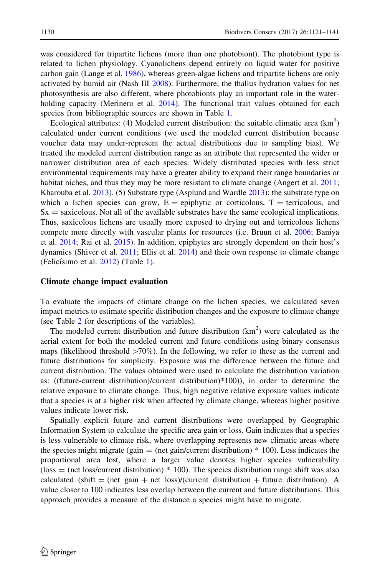was considered for tripartite lichens (more than one photobiont). The photobiont type is related to lichen physiology. Cyanolichens depend entirely on liquid water for positive carbon gain (Lange et al. [1986](#page-18-0)), whereas green-algae lichens and tripartite lichens are only activated by humid air (Nash III [2008\)](#page-19-0). Furthermore, the thallus hydration values for net photosynthesis are also different, where photobionts play an important role in the water-holding capacity (Merinero et al. [2014\)](#page-19-0). The functional trait values obtained for each species from bibliographic sources are shown in Table [1.](#page-4-0)

Ecological attributes: (4) Modeled current distribution: the suitable climatic area  $(km^2)$ calculated under current conditions (we used the modeled current distribution because voucher data may under-represent the actual distributions due to sampling bias). We treated the modeled current distribution range as an attribute that represented the wider or narrower distribution area of each species. Widely distributed species with less strict environmental requirements may have a greater ability to expand their range boundaries or habitat niches, and thus they may be more resistant to climate change (Angert et al. [2011;](#page-16-0) Kharouba et al. [2013](#page-18-0)). (5) Substrate type (Asplund and Wardle [2013](#page-16-0)): the substrate type on which a lichen species can grow,  $E =$  epiphytic or corticolous,  $T =$  terricolous, and  $Sx =$  saxicolous. Not all of the available substrates have the same ecological implications. Thus, saxicolous lichens are usually more exposed to drying out and terricolous lichens compete more directly with vascular plants for resources (i.e. Bruun et al. [2006;](#page-16-0) Baniya et al. [2014;](#page-16-0) Rai et al. [2015\)](#page-20-0). In addition, epiphytes are strongly dependent on their host's dynamics (Shiver et al. [2011](#page-20-0); Ellis et al. [2014](#page-17-0)) and their own response to climate change (Felicísimo et al. [2012\)](#page-17-0) (Table [1\)](#page-4-0).

#### Climate change impact evaluation

To evaluate the impacts of climate change on the lichen species, we calculated seven impact metrics to estimate specific distribution changes and the exposure to climate change (see Table [2](#page-8-0) for descriptions of the variables).

The modeled current distribution and future distribution  $(km<sup>2</sup>)$  were calculated as the aerial extent for both the modeled current and future conditions using binary consensus maps (likelihood threshold  $\geq 70\%$ ). In the following, we refer to these as the current and future distributions for simplicity. Exposure was the difference between the future and current distribution. The values obtained were used to calculate the distribution variation as: ((future-current distribution)/current distribution)\*100)), in order to determine the relative exposure to climate change. Thus, high negative relative exposure values indicate that a species is at a higher risk when affected by climate change, whereas higher positive values indicate lower risk.

Spatially explicit future and current distributions were overlapped by Geographic Information System to calculate the specific area gain or loss. Gain indicates that a species is less vulnerable to climate risk, where overlapping represents new climatic areas where the species might migrate (gain  $=$  (net gain/current distribution)  $*$  100). Loss indicates the proportional area lost, where a larger value denotes higher species vulnerability  $(loss = (net loss/current distribution) * 100)$ . The species distribution range shift was also calculated (shift  $=$  (net gain  $+$  net loss)/(current distribution  $+$  future distribution). A value closer to 100 indicates less overlap between the current and future distributions. This approach provides a measure of the distance a species might have to migrate.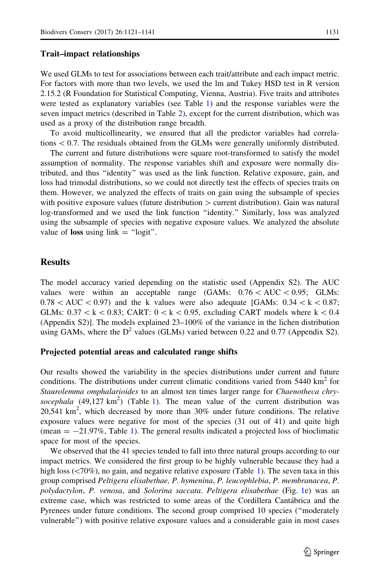#### Trait–impact relationships

We used GLMs to test for associations between each trait/attribute and each impact metric. For factors with more than two levels, we used the lm and Tukey HSD test in R version 2.15.2 (R Foundation for Statistical Computing, Vienna, Austria). Five traits and attributes were tested as explanatory variables (see Table [1\)](#page-4-0) and the response variables were the seven impact metrics (described in Table [2](#page-8-0)), except for the current distribution, which was used as a proxy of the distribution range breadth.

To avoid multicollinearity, we ensured that all the predictor variables had correlations  $< 0.7$ . The residuals obtained from the GLMs were generally uniformly distributed.

The current and future distributions were square root-transformed to satisfy the model assumption of normality. The response variables shift and exposure were normally distributed, and thus ''identity'' was used as the link function. Relative exposure, gain, and loss had trimodal distributions, so we could not directly test the effects of species traits on them. However, we analyzed the effects of traits on gain using the subsample of species with positive exposure values (future distribution  $\geq$  current distribution). Gain was natural log-transformed and we used the link function ''identity.'' Similarly, loss was analyzed using the subsample of species with negative exposure values. We analyzed the absolute value of loss using  $link = "logit"$ .

# Results

The model accuracy varied depending on the statistic used (Appendix S2). The AUC values were within an acceptable range  $(GAMs: 0.76 < AUC < 0.95;$  GLMs:  $0.78 \leq AUC \leq 0.97$  and the k values were also adequate [GAMs:  $0.34 \leq k \leq 0.87$ ; GLMs:  $0.37 \times k\lt0.83$ ; CART:  $0 \lt k\lt0.95$ , excluding CART models where  $k\lt0.4$ (Appendix S2)]. The models explained 23–100% of the variance in the lichen distribution using GAMs, where the  $D^2$  values (GLMs) varied between 0.22 and 0.77 (Appendix S2).

## Projected potential areas and calculated range shifts

Our results showed the variability in the species distributions under current and future conditions. The distributions under current climatic conditions varied from  $5440 \text{ km}^2$  for Staurolemma omphalarioides to an almost ten times larger range for Chaenotheca chrysocephala  $(49,127 \text{ km}^2)$  $(49,127 \text{ km}^2)$  $(49,127 \text{ km}^2)$  (Table 1). The mean value of the current distribution was  $20,541$  km<sup>2</sup>, which decreased by more than  $30\%$  under future conditions. The relative exposure values were negative for most of the species (31 out of 41) and quite high (mean  $= -21.97\%$  $= -21.97\%$  $= -21.97\%$ , Table 1). The general results indicated a projected loss of bioclimatic space for most of the species.

We observed that the 41 species tended to fall into three natural groups according to our impact metrics. We considered the first group to be highly vulnerable because they had a high loss  $(\leq 70\%)$ , no gain, and negative relative exposure (Table [1\)](#page-4-0). The seven taxa in this group comprised Peltigera elisabethae, P. hymenina, P. leucophlebia, P. membranacea, P. polydactylon, P. venosa, and Solorina saccata. Peltigera elisabethae (Fig. [1e](#page-11-0)) was an extreme case, which was restricted to some areas of the Cordillera Cantábrica and the Pyrenees under future conditions. The second group comprised 10 species (''moderately vulnerable'') with positive relative exposure values and a considerable gain in most cases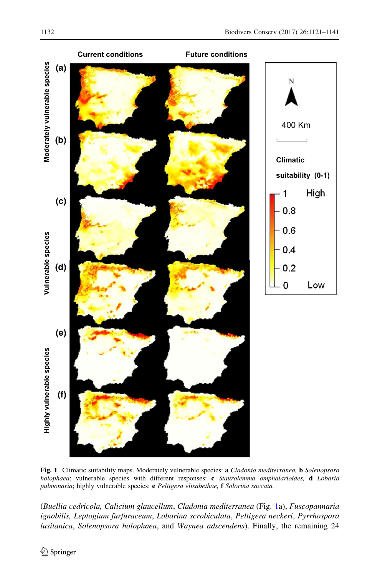<span id="page-11-0"></span>

Fig. 1 Climatic suitability maps. Moderately vulnerable species: a Cladonia mediterranea, b Solenopsora holophaea; vulnerable species with different responses: c Staurolemma omphalarioides, d Lobaria pulmonaria; highly vulnerable species: e Peltigera elisabethae, f Solorina saccata

(Buellia cedricola, Calicium glaucellum, Cladonia mediterranea (Fig. 1a), Fuscopannaria ignobilis, Leptogium furfuraceum, Lobarina scrobiculata, Peltigera neckeri, Pyrrhospora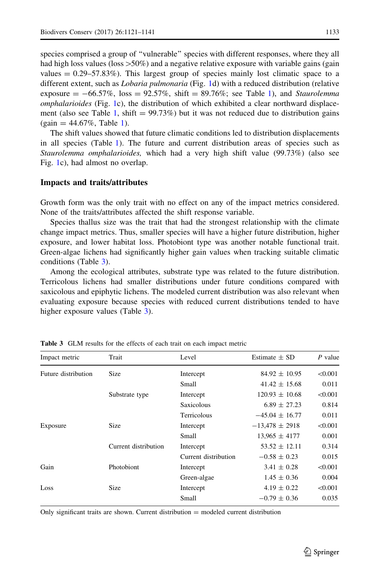species comprised a group of ''vulnerable'' species with different responses, where they all had high loss values (loss  $>50\%$ ) and a negative relative exposure with variable gains (gain values  $= 0.29 - 57.83\%$ ). This largest group of species mainly lost climatic space to a different extent, such as *Lobaria pulmonaria* (Fig. [1d](#page-11-0)) with a reduced distribution (relative exposure  $= -66.57\%$ , loss  $= 92.57\%$ , shift  $= 89.76\%$ ; see Table [1](#page-4-0)), and Staurolemma  $omphalaroides$  (Fig. [1](#page-11-0)c), the distribution of which exhibited a clear northward displace-ment (also see Table [1,](#page-4-0) shift  $= 99.73\%$ ) but it was not reduced due to distribution gains  $(gain = 44.67\%, Table 1).$  $(gain = 44.67\%, Table 1).$  $(gain = 44.67\%, Table 1).$ 

The shift values showed that future climatic conditions led to distribution displacements in all species (Table [1\)](#page-4-0). The future and current distribution areas of species such as Staurolemma omphalarioides, which had a very high shift value (99.73%) (also see Fig. [1c](#page-11-0)), had almost no overlap.

#### Impacts and traits/attributes

Growth form was the only trait with no effect on any of the impact metrics considered. None of the traits/attributes affected the shift response variable.

Species thallus size was the trait that had the strongest relationship with the climate change impact metrics. Thus, smaller species will have a higher future distribution, higher exposure, and lower habitat loss. Photobiont type was another notable functional trait. Green-algae lichens had significantly higher gain values when tracking suitable climatic conditions (Table 3).

Among the ecological attributes, substrate type was related to the future distribution. Terricolous lichens had smaller distributions under future conditions compared with saxicolous and epiphytic lichens. The modeled current distribution was also relevant when evaluating exposure because species with reduced current distributions tended to have higher exposure values (Table 3).

| Impact metric       | Trait                | Level                | Estimate $\pm$ SD  | P value |
|---------------------|----------------------|----------------------|--------------------|---------|
| Future distribution | <b>Size</b>          | Intercept            | $84.92 \pm 10.95$  | < 0.001 |
|                     |                      | Small                | $41.42 \pm 15.68$  | 0.011   |
|                     | Substrate type       | Intercept            | $120.93 \pm 10.68$ | < 0.001 |
|                     |                      | Saxicolous           | $6.89 \pm 27.23$   | 0.814   |
|                     |                      | Terricolous          | $-45.04 + 16.77$   | 0.011   |
| Exposure            | <b>Size</b>          | Intercept            | $-13,478 \pm 2918$ | < 0.001 |
|                     |                      | Small                | $13.965 \pm 4177$  | 0.001   |
|                     | Current distribution | Intercept            | $53.52 \pm 12.11$  | 0.314   |
|                     |                      | Current distribution | $-0.58 \pm 0.23$   | 0.015   |
| Gain                | Photobiont           | Intercept            | $3.41 \pm 0.28$    | < 0.001 |
|                     |                      | Green-algae          | $1.45 \pm 0.36$    | 0.004   |
| Loss                | <b>Size</b>          | Intercept            | $4.19 \pm 0.22$    | < 0.001 |
|                     |                      | Small                | $-0.79 \pm 0.36$   | 0.035   |
|                     |                      |                      |                    |         |

Table 3 GLM results for the effects of each trait on each impact metric

Only significant traits are shown. Current distribution = modeled current distribution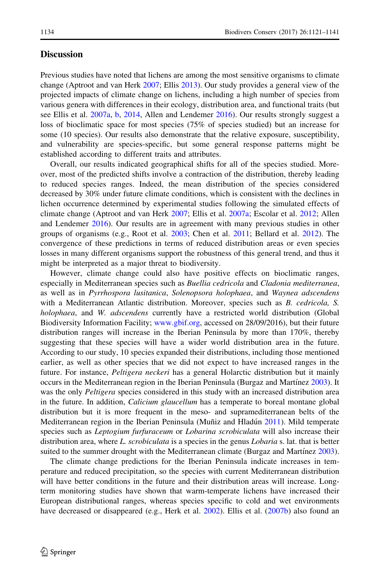# **Discussion**

Previous studies have noted that lichens are among the most sensitive organisms to climate change (Aptroot and van Herk [2007](#page-16-0); Ellis [2013\)](#page-17-0). Our study provides a general view of the projected impacts of climate change on lichens, including a high number of species from various genera with differences in their ecology, distribution area, and functional traits (but see Ellis et al. [2007a,](#page-17-0) [b,](#page-17-0) [2014](#page-17-0), Allen and Lendemer [2016\)](#page-16-0). Our results strongly suggest a loss of bioclimatic space for most species (75% of species studied) but an increase for some (10 species). Our results also demonstrate that the relative exposure, susceptibility, and vulnerability are species-specific, but some general response patterns might be established according to different traits and attributes.

Overall, our results indicated geographical shifts for all of the species studied. Moreover, most of the predicted shifts involve a contraction of the distribution, thereby leading to reduced species ranges. Indeed, the mean distribution of the species considered decreased by 30% under future climate conditions, which is consistent with the declines in lichen occurrence determined by experimental studies following the simulated effects of climate change (Aptroot and van Herk [2007](#page-16-0); Ellis et al. [2007a](#page-17-0); Escolar et al. [2012;](#page-17-0) Allen and Lendemer [2016](#page-16-0)). Our results are in agreement with many previous studies in other groups of organisms (e.g., Root et al. [2003;](#page-20-0) Chen et al. [2011;](#page-17-0) Bellard et al. [2012\)](#page-16-0). The convergence of these predictions in terms of reduced distribution areas or even species losses in many different organisms support the robustness of this general trend, and thus it might be interpreted as a major threat to biodiversity.

However, climate change could also have positive effects on bioclimatic ranges, especially in Mediterranean species such as Buellia cedricola and Cladonia mediterranea, as well as in Pyrrhospora lusitanica, Solenopsora holophaea, and Waynea adscendens with a Mediterranean Atlantic distribution. Moreover, species such as *B. cedricola*, *S.* holophaea, and W. adscendens currently have a restricted world distribution (Global Biodiversity Information Facility; [www.gbif.org](http://www.gbif.org), accessed on 28/09/2016), but their future distribution ranges will increase in the Iberian Peninsula by more than 170%, thereby suggesting that these species will have a wider world distribution area in the future. According to our study, 10 species expanded their distributions, including those mentioned earlier, as well as other species that we did not expect to have increased ranges in the future. For instance, *Peltigera neckeri* has a general Holarctic distribution but it mainly occurs in the Mediterranean region in the Iberian Peninsula (Burgaz and Martínez [2003\)](#page-16-0). It was the only Peltigera species considered in this study with an increased distribution area in the future. In addition, *Calicium glaucellum* has a temperate to boreal montane global distribution but it is more frequent in the meso- and supramediterranean belts of the Mediterranean region in the Iberian Peninsula (Muñiz and Hladún [2011](#page-19-0)). Mild temperate species such as *Leptogium furfuraceum* or *Lobarina scrobiculata* will also increase their distribution area, where L. scrobiculata is a species in the genus Lobaria s. lat. that is better suited to the summer drought with the Mediterranean climate (Burgaz and Martínez [2003](#page-16-0)).

The climate change predictions for the Iberian Peninsula indicate increases in temperature and reduced precipitation, so the species with current Mediterranean distribution will have better conditions in the future and their distribution areas will increase. Longterm monitoring studies have shown that warm-temperate lichens have increased their European distributional ranges, whereas species specific to cold and wet environments have decreased or disappeared (e.g., Herk et al. [2002](#page-18-0)). Ellis et al. ([2007b](#page-17-0)) also found an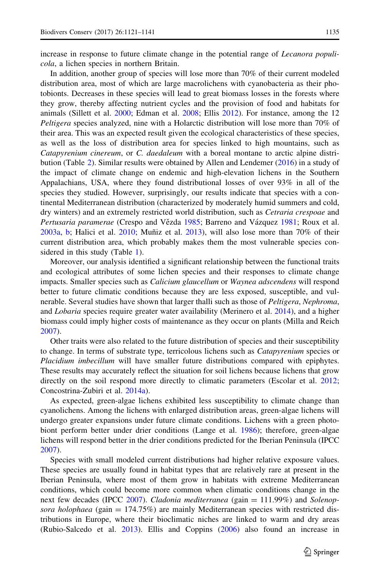increase in response to future climate change in the potential range of *Lecanora populi*cola, a lichen species in northern Britain.

In addition, another group of species will lose more than 70% of their current modeled distribution area, most of which are large macrolichens with cyanobacteria as their photobionts. Decreases in these species will lead to great biomass losses in the forests where they grow, thereby affecting nutrient cycles and the provision of food and habitats for animals (Sillett et al. [2000](#page-20-0); Edman et al. [2008](#page-17-0); Ellis [2012](#page-17-0)). For instance, among the 12 Peltigera species analyzed, nine with a Holarctic distribution will lose more than 70% of their area. This was an expected result given the ecological characteristics of these species, as well as the loss of distribution area for species linked to high mountains, such as Catapyrenium cinereum, or C. daedaleum with a boreal montane to arctic alpine distribution (Table [2\)](#page-8-0). Similar results were obtained by Allen and Lendemer ([2016](#page-16-0)) in a study of the impact of climate change on endemic and high-elevation lichens in the Southern Appalachians, USA, where they found distributional losses of over 93% in all of the species they studied. However, surprisingly, our results indicate that species with a continental Mediterranean distribution (characterized by moderately humid summers and cold, dry winters) and an extremely restricted world distribution, such as Cetraria crespoae and Pertusaria paramerae (Crespo and Vězda [1985;](#page-17-0) Barreno and Vázquez [1981;](#page-16-0) Roux et al. [2003a,](#page-20-0) [b;](#page-20-0) Halici et al.  $2010$ ; Muñiz et al.  $2013$ ), will also lose more than 70% of their current distribution area, which probably makes them the most vulnerable species considered in this study (Table [1](#page-4-0)).

Moreover, our analysis identified a significant relationship between the functional traits and ecological attributes of some lichen species and their responses to climate change impacts. Smaller species such as *Calicium glaucellum* or *Waynea adscendens* will respond better to future climatic conditions because they are less exposed, susceptible, and vulnerable. Several studies have shown that larger thalli such as those of *Peltigera*, Nephroma, and *Lobaria* species require greater water availability (Merinero et al. [2014\)](#page-19-0), and a higher biomass could imply higher costs of maintenance as they occur on plants (Milla and Reich [2007\)](#page-19-0).

Other traits were also related to the future distribution of species and their susceptibility to change. In terms of substrate type, terricolous lichens such as Catapyrenium species or Placidium imbecillum will have smaller future distributions compared with epiphytes. These results may accurately reflect the situation for soil lichens because lichens that grow directly on the soil respond more directly to climatic parameters (Escolar et al. [2012;](#page-17-0) Concostrina-Zubiri et al. [2014a](#page-17-0)).

As expected, green-algae lichens exhibited less susceptibility to climate change than cyanolichens. Among the lichens with enlarged distribution areas, green-algae lichens will undergo greater expansions under future climate conditions. Lichens with a green photobiont perform better under drier conditions (Lange et al. [1986](#page-18-0)); therefore, green-algae lichens will respond better in the drier conditions predicted for the Iberian Peninsula (IPCC [2007\)](#page-18-0).

Species with small modeled current distributions had higher relative exposure values. These species are usually found in habitat types that are relatively rare at present in the Iberian Peninsula, where most of them grow in habitats with extreme Mediterranean conditions, which could become more common when climatic conditions change in the next few decades (IPCC [2007\)](#page-18-0). Cladonia mediterranea (gain  $= 111.99\%$ ) and Solenopsora holophaea (gain  $= 174.75\%$ ) are mainly Mediterranean species with restricted distributions in Europe, where their bioclimatic niches are linked to warm and dry areas (Rubio-Salcedo et al. [2013\)](#page-20-0). Ellis and Coppins [\(2006](#page-17-0)) also found an increase in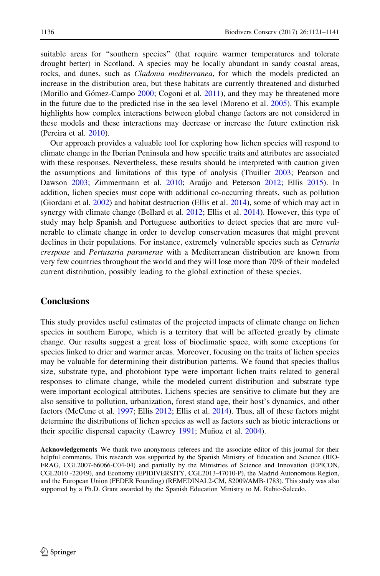suitable areas for ''southern species'' (that require warmer temperatures and tolerate drought better) in Scotland. A species may be locally abundant in sandy coastal areas, rocks, and dunes, such as Cladonia mediterranea, for which the models predicted an increase in the distribution area, but these habitats are currently threatened and disturbed (Morillo and Gómez-Campo [2000](#page-19-0); Cogoni et al. [2011](#page-17-0)), and they may be threatened more in the future due to the predicted rise in the sea level (Moreno et al. [2005](#page-19-0)). This example highlights how complex interactions between global change factors are not considered in these models and these interactions may decrease or increase the future extinction risk (Pereira et al. [2010](#page-19-0)).

Our approach provides a valuable tool for exploring how lichen species will respond to climate change in the Iberian Peninsula and how specific traits and attributes are associated with these responses. Nevertheless, these results should be interpreted with caution given the assumptions and limitations of this type of analysis (Thuiller [2003;](#page-20-0) Pearson and Dawson [2003;](#page-19-0) Zimmermann et al. [2010](#page-20-0); Araújo and Peterson [2012](#page-16-0); Ellis [2015](#page-17-0)). In addition, lichen species must cope with additional co-occurring threats, such as pollution (Giordani et al. [2002\)](#page-18-0) and habitat destruction (Ellis et al. [2014](#page-17-0)), some of which may act in synergy with climate change (Bellard et al. [2012](#page-16-0); Ellis et al. [2014\)](#page-17-0). However, this type of study may help Spanish and Portuguese authorities to detect species that are more vulnerable to climate change in order to develop conservation measures that might prevent declines in their populations. For instance, extremely vulnerable species such as Cetraria crespoae and Pertusaria paramerae with a Mediterranean distribution are known from very few countries throughout the world and they will lose more than 70% of their modeled current distribution, possibly leading to the global extinction of these species.

# **Conclusions**

This study provides useful estimates of the projected impacts of climate change on lichen species in southern Europe, which is a territory that will be affected greatly by climate change. Our results suggest a great loss of bioclimatic space, with some exceptions for species linked to drier and warmer areas. Moreover, focusing on the traits of lichen species may be valuable for determining their distribution patterns. We found that species thallus size, substrate type, and photobiont type were important lichen traits related to general responses to climate change, while the modeled current distribution and substrate type were important ecological attributes. Lichens species are sensitive to climate but they are also sensitive to pollution, urbanization, forest stand age, their host's dynamics, and other factors (McCune et al. [1997](#page-19-0); Ellis [2012;](#page-17-0) Ellis et al. [2014\)](#page-17-0). Thus, all of these factors might determine the distributions of lichen species as well as factors such as biotic interactions or their specific dispersal capacity (Lawrey [1991](#page-18-0); Muñoz et al. [2004\)](#page-19-0).

Acknowledgements We thank two anonymous referees and the associate editor of this journal for their helpful comments. This research was supported by the Spanish Ministry of Education and Science (BIO-FRAG, CGL2007-66066-C04-04) and partially by the Ministries of Science and Innovation (EPICON, CGL2010 -22049), and Economy (EPIDIVERSITY, CGL2013-47010-P), the Madrid Autonomous Region, and the European Union (FEDER Founding) (REMEDINAL2-CM, S2009/AMB-1783). This study was also supported by a Ph.D. Grant awarded by the Spanish Education Ministry to M. Rubio-Salcedo.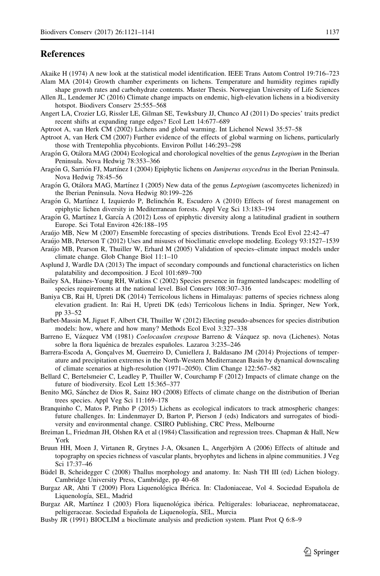## <span id="page-16-0"></span>**References**

- Akaike H (1974) A new look at the statistical model identification. IEEE Trans Autom Control 19:716–723 Alam MA (2014) Growth chamber experiments on lichens. Temperature and humidity regimes rapidly
- shape growth rates and carbohydrate contents. Master Thesis. Norwegian University of Life Sciences Allen JL, Lendemer JC (2016) Climate change impacts on endemic, high-elevation lichens in a biodiversity hotspot. Biodivers Conserv 25:555–568
- Angert LA, Crozier LG, Rissler LE, Gilman SE, Tewksbury JJ, Chunco AJ (2011) Do species' traits predict recent shifts at expanding range edges? Ecol Lett 14:677–689
- Aptroot A, van Herk CM (2002) Lichens and global warming. Int Lichenol Newsl 35:57–58
- Aptroot A, van Herk CM (2007) Further evidence of the effects of global warming on lichens, particularly those with Trentepohlia phycobionts. Environ Pollut 146:293–298
- Aragón G, Otálora MAG (2004) Ecological and chorological novelties of the genus Leptogium in the Iberian Peninsula. Nova Hedwig 78:353–366
- Aragón G, Sarrión FJ, Martínez I (2004) Epiphytic lichens on Juniperus oxycedrus in the Iberian Peninsula. Nova Hedwig 78:45–56
- Aragón G, Otálora MAG, Martínez I (2005) New data of the genus Leptogium (ascomycetes lichenized) in the Iberian Peninsula. Nova Hedwig 80:199–226
- Aragón G, Martínez I, Izquierdo P, Belinchón R, Escudero A (2010) Effects of forest management on epiphytic lichen diversity in Mediterranean forests. Appl Veg Sci 13:183–194
- Aragón G, Martínez I, García A (2012) Loss of epiphytic diversity along a latitudinal gradient in southern Europe. Sci Total Environ 426:188–195
- Arau´jo MB, New M (2007) Ensemble forecasting of species distributions. Trends Ecol Evol 22:42–47
- Arau´jo MB, Peterson T (2012) Uses and misuses of bioclimatic envelope modeling. Ecology 93:1527–1539
- Arau´jo MB, Pearson R, Thuiller W, Erhard M (2005) Validation of species–climate impact models under climate change. Glob Change Biol 11:1–10
- Asplund J, Wardle DA (2013) The impact of secondary compounds and functional characteristics on lichen palatability and decomposition. J Ecol 101:689–700
- Bailey SA, Haines-Young RH, Watkins C (2002) Species presence in fragmented landscapes: modelling of species requirements at the national level. Biol Conserv 108:307–316
- Baniya CB, Rai H, Upreti DK (2014) Terricolous lichens in Himalayas: patterns of species richness along elevation gradient. In: Rai H, Upreti DK (eds) Terricolous lichens in India. Springer, New York, pp 33–52
- Barbet-Massin M, Jiguet F, Albert CH, Thuiller W (2012) Electing pseudo-absences for species distribution models: how, where and how many? Methods Ecol Evol 3:327–338
- Barreno E, Vázquez VM (1981) Coelocaulon crespoae Barreno & Vázquez sp. nova (Lichenes). Notas sobre la flora liquénica de brezales españoles. Lazaroa 3:235–246
- Barrera-Escoda A, Gonçalves M, Guerreiro D, Cuniellera J, Baldasano JM (2014) Projections of temperature and precipitation extremes in the North-Western Mediterranean Basin by dynamical downscaling of climate scenarios at high-resolution (1971–2050). Clim Change 122:567–582
- Bellard C, Bertelsmeier C, Leadley P, Thuiller W, Courchamp F (2012) Impacts of climate change on the future of biodiversity. Ecol Lett 15:365–377
- Benito MG, Sánchez de Dios R, Sainz HO (2008) Effects of climate change on the distribution of Iberian trees species. Appl Veg Sci 11:169–178
- Branquinho C, Matos P, Pinho P (2015) Lichens as ecological indicators to track atmospheric changes: future challenges. In: Lindenmayer D, Barton P, Pierson J (eds) Indicators and surrogates of biodiversity and environmental change. CSIRO Publishing, CRC Press, Melbourne
- Breiman L, Friedman JH, Olshen RA et al (1984) Classification and regression trees. Chapman & Hall, New York
- Bruun HH, Moen J, Virtanen R, Grytnes J-A, Oksanen L, Angerbjörn A (2006) Effects of altitude and topography on species richness of vascular plants, bryophytes and lichens in alpine communities. J Veg Sci 17:37–46
- Büdel B, Scheidegger C (2008) Thallus morphology and anatomy. In: Nash TH III (ed) Lichen biology. Cambridge University Press, Cambridge, pp 40–68
- Burgaz AR, Ahti T (2009) Flora Liquenológica Ibérica. In: Cladoniaceae, Vol 4. Sociedad Española de Liquenología, SEL, Madrid
- Burgaz AR, Martínez I (2003) Flora liquenológica ibérica. Peltigerales: lobariaceae, nephromataceae, peltigeraceae. Sociedad Española de Liquenología, SEL, Murcia
- Busby JR (1991) BIOCLIM a bioclimate analysis and prediction system. Plant Prot Q 6:8–9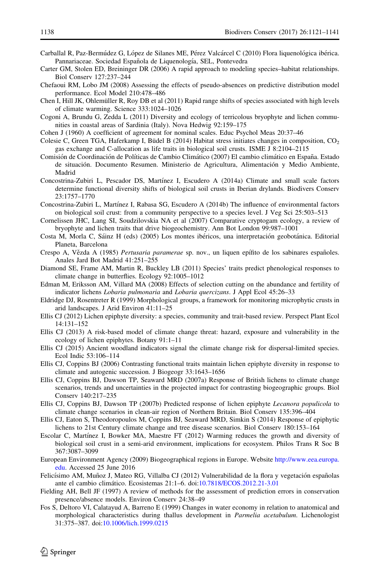- <span id="page-17-0"></span>Carballal R, Paz-Bermúdez G, López de Silanes ME, Pérez Valcárcel C (2010) Flora liquenológica ibérica. Pannariaceae. Sociedad Española de Liquenología, SEL, Pontevedra
- Carter GM, Stolen ED, Breininger DR (2006) A rapid approach to modeling species–habitat relationships. Biol Conserv 127:237–244
- Chefaoui RM, Lobo JM (2008) Assessing the effects of pseudo-absences on predictive distribution model performance. Ecol Model 210:478–486
- Chen I, Hill JK, Ohlemüller R, Roy DB et al (2011) Rapid range shifts of species associated with high levels of climate warming. Science 333:1024–1026
- Cogoni A, Brundu G, Zedda L (2011) Diversity and ecology of terricolous bryophyte and lichen communities in coastal areas of Sardinia (Italy). Nova Hedwig 92:159–175
- Cohen J (1960) A coefficient of agreement for nominal scales. Educ Psychol Meas 20:37–46
- Colesie C, Green TGA, Haferkamp I, Büdel B (2014) Habitat stress initiates changes in composition,  $CO<sub>2</sub>$ gas exchange and C-allocation as life traits in biological soil crusts. ISME J 8:2104–2115
- Comisión de Coordinación de Políticas de Cambio Climático (2007) El cambio climático en España. Estado de situación. Documento Resumen. Ministerio de Agricultura, Alimentación y Medio Ambiente, Madrid
- Concostrina-Zubiri L, Pescador DS, Martínez I, Escudero A (2014a) Climate and small scale factors determine functional diversity shifts of biological soil crusts in Iberian drylands. Biodivers Conserv 23:1757–1770
- Concostrina-Zubiri L, Martínez I, Rabasa SG, Escudero A (2014b) The influence of environmental factors on biological soil crust: from a community perspective to a species level. J Veg Sci 25:503–513
- Cornelissen JHC, Lang SI, Soudzilovskia NA et al (2007) Comparative cryptogam ecology, a review of bryophyte and lichen traits that drive biogeochemistry. Ann Bot London 99:987–1001
- Costa M, Morla C, Sáinz H (eds) (2005) Los montes ibéricos, una interpretación geobotánica. Editorial Planeta, Barcelona
- Crespo A, Vězda A (1985) Pertusaria paramerae sp. nov., un liquen epífito de los sabinares españoles. Anales Jard Bot Madrid 41:251–255
- Diamond SE, Frame AM, Martin R, Buckley LB (2011) Species' traits predict phenological responses to climate change in butterflies. Ecology 92:1005–1012
- Edman M, Eriksson AM, Villard MA (2008) Effects of selection cutting on the abundance and fertility of indicator lichens Lobaria pulmonaria and Lobaria quercizans. J Appl Ecol 45:26–33
- Eldridge DJ, Rosentreter R (1999) Morphological groups, a framework for monitoring microphytic crusts in arid landscapes. J Arid Environ 41:11–25
- Ellis CJ (2012) Lichen epiphyte diversity: a species, community and trait-based review. Perspect Plant Ecol 14:131–152
- Ellis CJ (2013) A risk-based model of climate change threat: hazard, exposure and vulnerability in the ecology of lichen epiphytes. Botany 91:1–11
- Ellis CJ (2015) Ancient woodland indicators signal the climate change risk for dispersal-limited species. Ecol Indic 53:106–114
- Ellis CJ, Coppins BJ (2006) Contrasting functional traits maintain lichen epiphyte diversity in response to climate and autogenic succession. J Biogeogr 33:1643–1656
- Ellis CJ, Coppins BJ, Dawson TP, Seaward MRD (2007a) Response of British lichens to climate change scenarios, trends and uncertainties in the projected impact for contrasting biogeographic groups. Biol Conserv 140:217–235
- Ellis CJ, Coppins BJ, Dawson TP (2007b) Predicted response of lichen epiphyte Lecanora populicola to climate change scenarios in clean-air region of Northern Britain. Biol Conserv 135:396–404
- Ellis CJ, Eaton S, Theodoropoulos M, Coppins BJ, Seaward MRD, Simkin S (2014) Response of epiphytic lichens to 21st Century climate change and tree disease scenarios. Biol Conserv 180:153–164
- Escolar C, Martínez I, Bowker MA, Maestre FT (2012) Warming reduces the growth and diversity of biological soil crust in a semi-arid environment, implications for ecosystem. Philos Trans R Soc B 367:3087–3099
- European Environment Agency (2009) Biogeographical regions in Europe. Website [http://www.eea.europa.](http://www.eea.europa.edu) [edu](http://www.eea.europa.edu). Accessed 25 June 2016
- Felicísimo AM, Muñoz J, Mateo RG, Villalba CJ (2012) Vulnerabilidad de la flora y vegetación españolas ante el cambio climático. Ecosistemas 21:1-6. doi[:10.7818/ECOS.2012.21-3.01](http://dx.doi.org/10.7818/ECOS.2012.21-3.01)
- Fielding AH, Bell JF (1997) A review of methods for the assessment of prediction errors in conservation presence/absence models. Environ Conserv 24:38–49
- Fos S, Deltoro VI, Calatayud A, Barreno E (1999) Changes in water economy in relation to anatomical and morphological characteristics during thallus development in Parmelia acetabulum. Lichenologist 31:375–387. doi:[10.1006/lich.1999.0215](http://dx.doi.org/10.1006/lich.1999.0215)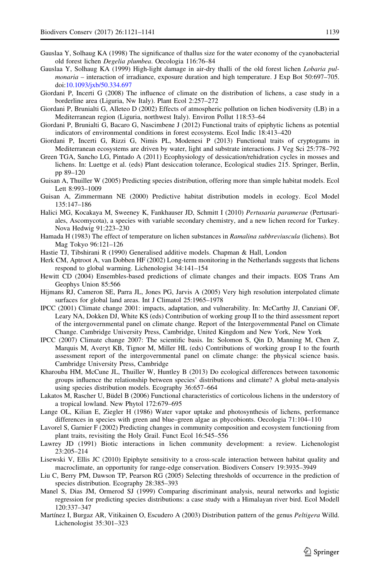- <span id="page-18-0"></span>Gauslaa Y, Solhaug KA (1998) The significance of thallus size for the water economy of the cyanobacterial old forest lichen Degelia plumbea. Oecologia 116:76–84
- Gauslaa Y, Solhaug KA (1999) High-light damage in air-dry thalli of the old forest lichen Lobaria pulmonaria – interaction of irradiance, exposure duration and high temperature. J Exp Bot 50:697–705. doi[:10.1093/jxb/50.334.697](http://dx.doi.org/10.1093/jxb/50.334.697)
- Giordani P, Incerti G (2008) The influence of climate on the distribution of lichens, a case study in a borderline area (Liguria, Nw Italy). Plant Ecol 2:257–272
- Giordani P, Brunialti G, Alleteo D (2002) Effects of atmospheric pollution on lichen biodiversity (LB) in a Mediterranean region (Liguria, northwest Italy). Environ Pollut 118:53–64
- Giordani P, Brunialti G, Bacaro G, Nascimbene J (2012) Functional traits of epiphytic lichens as potential indicators of environmental conditions in forest ecosystems. Ecol Indic 18:413–420
- Giordani P, Incerti G, Rizzi G, Nimis PL, Modenesi P (2013) Functional traits of cryptogams in Mediterranean ecosystems are driven by water, light and substrate interactions. J Veg Sci 25:778–792
- Green TGA, Sancho LG, Pintado A (2011) Ecophysiology of dessication/rehidration cycles in mosses and lichens. In: Luettge et al. (eds) Plant desiccation tolerance, Ecological studies 215. Springer, Berlin, pp 89–120
- Guisan A, Thuiller W (2005) Predicting species distribution, offering more than simple habitat models. Ecol Lett 8:993–1009
- Guisan A, Zimmermann NE (2000) Predictive habitat distribution models in ecology. Ecol Model 135:147–186
- Halici MG, Kocakaya M, Sweeney K, Fankhauser JD, Schmitt I (2010) Pertusaria paramerae (Pertusariales, Ascomycota), a species with variable secondary chemistry, and a new lichen record for Turkey. Nova Hedwig 91:223–230
- Hamada H (1983) The effect of temperature on lichen substances in Ramalina subbreviuscula (lichens). Bot Mag Tokyo 96:121–126
- Hastie TJ, Tibshirani R (1990) Generalised additive models. Chapman & Hall, London
- Herk CM, Aptroot A, van Dobben HF (2002) Long-term monitoring in the Netherlands suggests that lichens respond to global warming. Lichenologist 34:141–154
- Hewitt CD (2004) Ensembles-based predictions of climate changes and their impacts. EOS Trans Am Geophys Union 85:566
- Hijmans RJ, Cameron SE, Parra JL, Jones PG, Jarvis A (2005) Very high resolution interpolated climate surfaces for global land areas. Int J Climatol 25:1965–1978
- IPCC (2001) Climate change 2001: impacts, adaptation, and vulnerability. In: McCarthy JJ, Canziani OF, Leary NA, Dokken DJ, White KS (eds) Contribution of working group II to the third assessment report of the intergovernmental panel on climate change. Report of the Intergovernmental Panel on Climate Change. Cambridge University Press, Cambridge, United Kingdom and New York, New York
- IPCC (2007) Climate change 2007: The scientific basis. In: Solomon S, Qin D, Manning M, Chen Z, Marquis M, Averyt KB, Tignor M, Miller HL (eds) Contributions of working group I to the fourth assessment report of the intergovernmental panel on climate change: the physical science basis. Cambridge University Press, Cambridge
- Kharouba HM, McCune JL, Thuiller W, Huntley B (2013) Do ecological differences between taxonomic groups influence the relationship between species' distributions and climate? A global meta-analysis using species distribution models. Ecography 36:657–664
- Lakatos M, Rascher U, Büdel B (2006) Functional characteristics of corticolous lichens in the understory of a tropical lowland. New Phytol 172:679–695
- Lange OL, Kilian E, Ziegler H (1986) Water vapor uptake and photosynthesis of lichens, performance differences in species with green and blue–green algae as phycobionts. Oecologia 71:104–110
- Lavorel S, Garnier F (2002) Predicting changes in community composition and ecosystem functioning from plant traits, revisiting the Holy Grail. Funct Ecol 16:545–556
- Lawrey JD (1991) Biotic interactions in lichen community development: a review. Lichenologist 23:205–214
- Lisewski V, Ellis JC (2010) Epiphyte sensitivity to a cross-scale interaction between habitat quality and macroclimate, an opportunity for range-edge conservation. Biodivers Conserv 19:3935–3949
- Liu C, Berry PM, Dawson TP, Pearson RG (2005) Selecting thresholds of occurrence in the prediction of species distribution. Ecography 28:385–393
- Manel S, Dias JM, Ormerod SJ (1999) Comparing discriminant analysis, neural networks and logistic regression for predicting species distributions: a case study with a Himalayan river bird. Ecol Modell 120:337–347
- Martínez I, Burgaz AR, Vitikainen O, Escudero A (2003) Distribution pattern of the genus Peltigera Willd. Lichenologist 35:301–323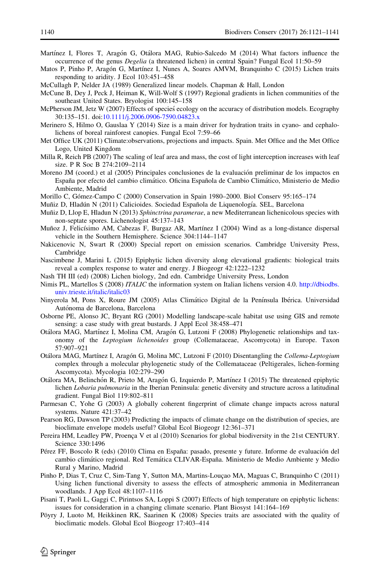- <span id="page-19-0"></span>Martínez I, Flores T, Aragón G, Otálora MAG, Rubio-Salcedo M (2014) What factors influence the occurrence of the genus Degelia (a threatened lichen) in central Spain? Fungal Ecol 11:50–59
- Matos P, Pinho P, Aragón G, Martínez I, Nunes A, Soares AMVM, Branquinho C (2015) Lichen traits responding to aridity. J Ecol 103:451–458
- McCullagh P, Nelder JA (1989) Generalized linear models. Chapman & Hall, London
- McCune B, Dey J, Peck J, Heiman K, Will-Wolf S (1997) Regional gradients in lichen communities of the southeast United States. Bryologist 100:145–158
- McPherson JM, Jetz W (2007) Effects of species ecology on the accuracy of distribution models. Ecography 30:135–151. doi:[10.1111/j.2006.0906-7590.04823.x](http://dx.doi.org/10.1111/j.2006.0906-7590.04823.x)
- Merinero S, Hilmo O, Gauslaa Y (2014) Size is a main driver for hydration traits in cyano- and cephalolichens of boreal rainforest canopies. Fungal Ecol 7:59–66
- Met Office UK (2011) Climate:observations, projections and impacts. Spain. Met Office and the Met Office Logo, United Kingdom
- Milla R, Reich PB (2007) The scaling of leaf area and mass, the cost of light interception increases with leaf size. P R Soc B 274:2109–2114
- Moreno JM (coord.) et al (2005) Principales conclusiones de la evaluación preliminar de los impactos en España por efecto del cambio climático. Oficina Española de Cambio Climático, Ministerio de Medio Ambiente, Madrid
- Morillo C, Gómez-Campo C (2000) Conservation in Spain 1980–2000. Biol Conserv 95:165–174

Muñiz D, Hladún N (2011) Calicioides. Sociedad Española de Liquenología. SEL, Barcelona

- Muñiz D, Llop E, Hladun N (2013) Sphinctrina paramerae, a new Mediterranean lichenicolous species with non-septate spores. Lichenologist 45:137–143
- Muñoz J, Felicísimo AM, Cabezas F, Burgaz AR, Martínez I (2004) Wind as a long-distance dispersal vehicle in the Southern Hemisphere. Science 304:1144–1147
- Nakicenovic N, Swart R (2000) Special report on emission scenarios. Cambridge University Press, Cambridge
- Nascimbene J, Marini L (2015) Epiphytic lichen diversity along elevational gradients: biological traits reveal a complex response to water and energy. J Biogeogr 42:1222–1232
- Nash TH III (ed) (2008) Lichen biology, 2nd edn. Cambridge University Press, London
- Nimis PL, Martellos S (2008) ITALIC the information system on Italian lichens version 4.0. [http://dbiodbs.](http://dbiodbs.univ.trieste.it/italic/italic03) [univ.trieste.it/italic/italic03](http://dbiodbs.univ.trieste.it/italic/italic03)
- Ninyerola M, Pons X, Roure JM (2005) Atlas Climático Digital de la Península Ibérica. Universidad Autónoma de Barcelona, Barcelona
- Osborne PE, Alonso JC, Bryant RG (2001) Modelling landscape-scale habitat use using GIS and remote sensing: a case study with great bustards. J Appl Ecol 38:458–471
- Otálora MAG, Martínez I, Molina CM, Aragón G, Lutzoni F (2008) Phylogenetic relationships and taxonomy of the Leptogium lichenoides group (Collemataceae, Ascomycota) in Europe. Taxon 57:907–921
- Otálora MAG, Martínez I, Aragón G, Molina MC, Lutzoni F (2010) Disentangling the Collema-Leptogium complex through a molecular phylogenetic study of the Collemataceae (Peltigerales, lichen-forming Ascomycota). Mycologia 102:279–290
- Otálora MA, Belinchón R, Prieto M, Aragón G, Izquierdo P, Martínez I (2015) The threatened epiphytic lichen Lobaria pulmonaria in the Iberian Peninsula: genetic diversity and structure across a latitudinal gradient. Fungal Biol 119:802–811
- Parmesan C, Yohe G (2003) A globally coherent fingerprint of climate change impacts across natural systems. Nature 421:37–42
- Pearson RG, Dawson TP (2003) Predicting the impacts of climate change on the distribution of species, are bioclimate envelope models useful? Global Ecol Biogeogr 12:361–371
- Pereira HM, Leadley PW, Proença V et al (2010) Scenarios for global biodiversity in the 21st CENTURY. Science 330:1496
- Pérez FF, Boscolo R (eds) (2010) Clima en España: pasado, presente y future. Informe de evaluación del cambio climático regional. Red Temática CLIVAR-España. Ministerio de Medio Ambiente y Medio Rural y Marino, Madrid
- Pinho P, Dias T, Cruz C, Sim-Tang Y, Sutton MA, Martins-Louçao MA, Maguas C, Branquinho C (2011) Using lichen functional diversity to assess the effects of atmospheric ammonia in Mediterranean woodlands. J App Ecol 48:1107–1116
- Pisani T, Paoli L, Gaggi C, Pirintsos SA, Loppi S (2007) Effects of high temperature on epiphytic lichens: issues for consideration in a changing climate scenario. Plant Biosyst 141:164–169
- Pöyry J, Luoto M, Heikkinen RK, Saarinen K (2008) Species traits are associated with the quality of bioclimatic models. Global Ecol Biogeogr 17:403–414